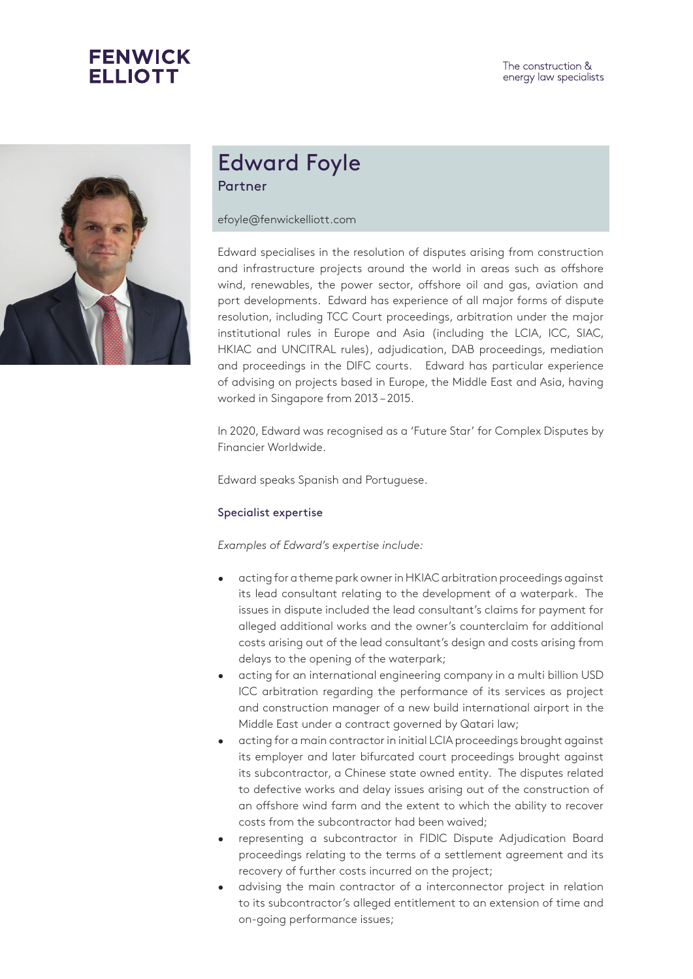



# Edward Foyle Partner

#### efoyle@fenwickelliott.com

Edward specialises in the resolution of disputes arising from construction and infrastructure projects around the world in areas such as offshore wind, renewables, the power sector, offshore oil and gas, aviation and port developments. Edward has experience of all major forms of dispute resolution, including TCC Court proceedings, arbitration under the major institutional rules in Europe and Asia (including the LCIA, ICC, SIAC, HKIAC and UNCITRAL rules), adjudication, DAB proceedings, mediation and proceedings in the DIFC courts. Edward has particular experience of advising on projects based in Europe, the Middle East and Asia, having worked in Singapore from 2013 – 2015.

In 2020, Edward was recognised as a 'Future Star' for Complex Disputes by Financier Worldwide.

Edward speaks Spanish and Portuguese.

#### Specialist expertise

#### *Examples of Edward's expertise include:*

- acting for a theme park owner in HKIAC arbitration proceedings against its lead consultant relating to the development of a waterpark. The issues in dispute included the lead consultant's claims for payment for alleged additional works and the owner's counterclaim for additional costs arising out of the lead consultant's design and costs arising from delays to the opening of the waterpark;
- acting for an international engineering company in a multi billion USD ICC arbitration regarding the performance of its services as project and construction manager of a new build international airport in the Middle East under a contract governed by Qatari law;
- acting for a main contractor in initial LCIA proceedings brought against its employer and later bifurcated court proceedings brought against its subcontractor, a Chinese state owned entity. The disputes related to defective works and delay issues arising out of the construction of an offshore wind farm and the extent to which the ability to recover costs from the subcontractor had been waived;
- representing a subcontractor in FIDIC Dispute Adjudication Board proceedings relating to the terms of a settlement agreement and its recovery of further costs incurred on the project;
- advising the main contractor of a interconnector project in relation to its subcontractor's alleged entitlement to an extension of time and on-going performance issues;